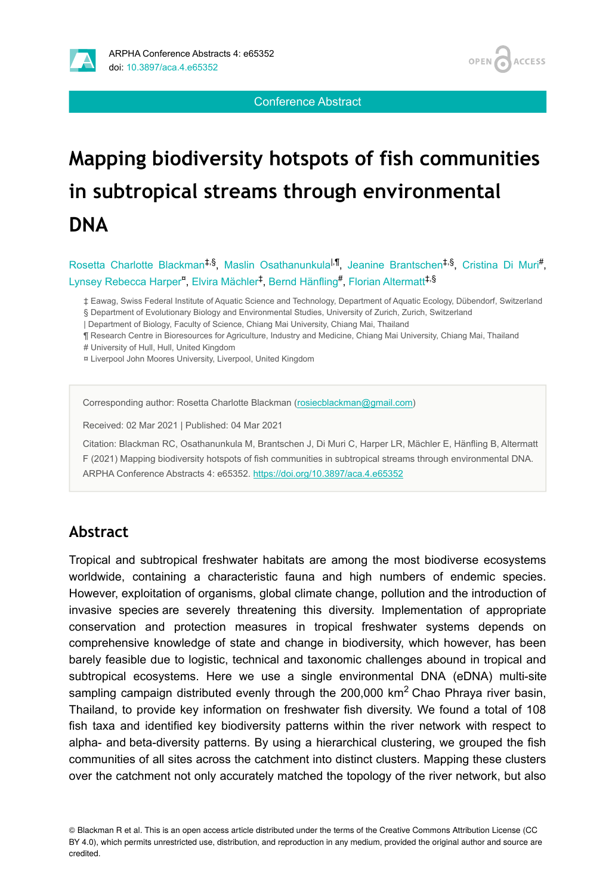



Conference Abstract

# **Mapping biodiversity hotspots of fish communities in subtropical streams through environmental DNA**

Rosetta Charlotte Blackman<sup>‡,§</sup>, Maslin Osathanunkula<sup>l,¶</sup>, Jeanine Brantschen<sup>‡,§</sup>, Cristina Di Muri<sup>#</sup>, Lynsey Rebecca Harper<sup>¤</sup>, Elvira Mächler<sup>‡</sup>, Bernd Hänfling<sup>#</sup>, Florian Altermatt<sup>‡,§</sup>

- ‡ Eawag, Swiss Federal Institute of Aquatic Science and Technology, Department of Aquatic Ecology, Dübendorf, Switzerland § Department of Evolutionary Biology and Environmental Studies, University of Zurich, Zurich, Switzerland
- | Department of Biology, Faculty of Science, Chiang Mai University, Chiang Mai, Thailand
- ¶ Research Centre in Bioresources for Agriculture, Industry and Medicine, Chiang Mai University, Chiang Mai, Thailand
- # University of Hull, Hull, United Kingdom
- ¤ Liverpool John Moores University, Liverpool, United Kingdom

Corresponding author: Rosetta Charlotte Blackman ([rosiecblackman@gmail.com\)](mailto:rosiecblackman@gmail.com)

Received: 02 Mar 2021 | Published: 04 Mar 2021

Citation: Blackman RC, Osathanunkula M, Brantschen J, Di Muri C, Harper LR, Mächler E, Hänfling B, Altermatt F (2021) Mapping biodiversity hotspots of fish communities in subtropical streams through environmental DNA. ARPHA Conference Abstracts 4: e65352. <https://doi.org/10.3897/aca.4.e65352>

#### **Abstract**

Tropical and subtropical freshwater habitats are among the most biodiverse ecosystems worldwide, containing a characteristic fauna and high numbers of endemic species. However, exploitation of organisms, global climate change, pollution and the introduction of invasive species are severely threatening this diversity. Implementation of appropriate conservation and protection measures in tropical freshwater systems depends on comprehensive knowledge of state and change in biodiversity, which however, has been barely feasible due to logistic, technical and taxonomic challenges abound in tropical and subtropical ecosystems. Here we use a single environmental DNA (eDNA) multi-site sampling campaign distributed evenly through the 200,000 km<sup>2</sup> Chao Phraya river basin, Thailand, to provide key information on freshwater fish diversity. We found a total of 108 fish taxa and identified key biodiversity patterns within the river network with respect to alpha- and beta-diversity patterns. By using a hierarchical clustering, we grouped the fish communities of all sites across the catchment into distinct clusters. Mapping these clusters over the catchment not only accurately matched the topology of the river network, but also

© Blackman R et al. This is an open access article distributed under the terms of the Creative Commons Attribution License (CC BY 4.0), which permits unrestricted use, distribution, and reproduction in any medium, provided the original author and source are credited.